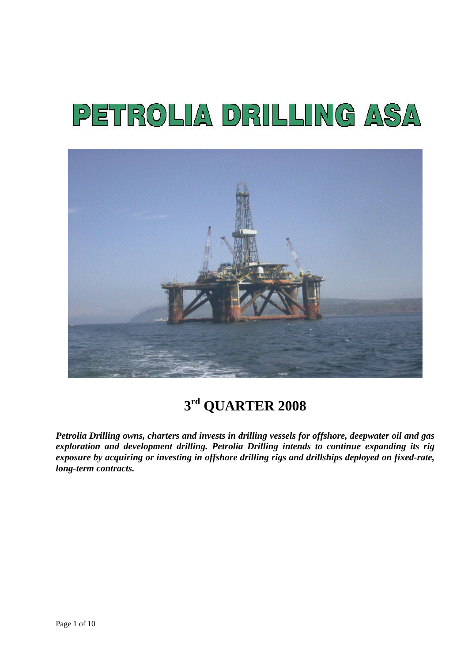# PETROLIA DRILLING ASA



**3rd QUARTER 2008** 

*Petrolia Drilling owns, charters and invests in drilling vessels for offshore, deepwater oil and gas exploration and development drilling. Petrolia Drilling intends to continue expanding its rig exposure by acquiring or investing in offshore drilling rigs and drillships deployed on fixed-rate, long-term contracts.*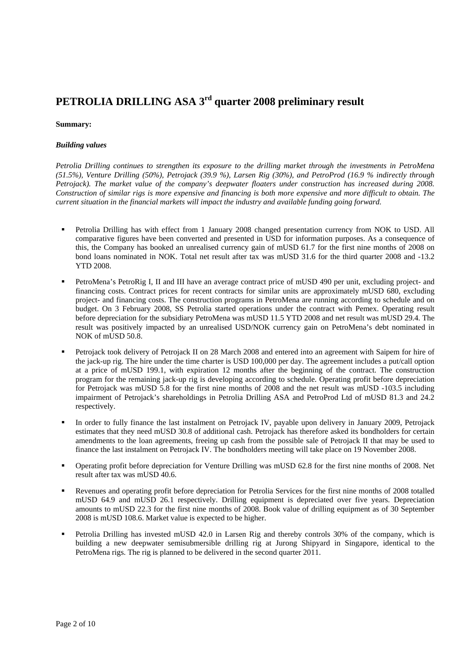## **PETROLIA DRILLING ASA 3rd quarter 2008 preliminary result**

#### **Summary:**

#### *Building values*

*Petrolia Drilling continues to strengthen its exposure to the drilling market through the investments in PetroMena (51.5%), Venture Drilling (50%), Petrojack (39.9 %), Larsen Rig (30%), and PetroProd (16.9 % indirectly through Petrojack). The market value of the company's deepwater floaters under construction has increased during 2008. Construction of similar rigs is more expensive and financing is both more expensive and more difficult to obtain. The current situation in the financial markets will impact the industry and available funding going forward.* 

- Petrolia Drilling has with effect from 1 January 2008 changed presentation currency from NOK to USD. All comparative figures have been converted and presented in USD for information purposes. As a consequence of this, the Company has booked an unrealised currency gain of mUSD 61.7 for the first nine months of 2008 on bond loans nominated in NOK. Total net result after tax was mUSD 31.6 for the third quarter 2008 and -13.2 YTD 2008.
- PetroMena's PetroRig I, II and III have an average contract price of mUSD 490 per unit, excluding project- and financing costs. Contract prices for recent contracts for similar units are approximately mUSD 680, excluding project- and financing costs. The construction programs in PetroMena are running according to schedule and on budget. On 3 February 2008, SS Petrolia started operations under the contract with Pemex. Operating result before depreciation for the subsidiary PetroMena was mUSD 11.5 YTD 2008 and net result was mUSD 29.4. The result was positively impacted by an unrealised USD/NOK currency gain on PetroMena's debt nominated in NOK of mUSD 50.8.
- Petrojack took delivery of Petrojack II on 28 March 2008 and entered into an agreement with Saipem for hire of the jack-up rig. The hire under the time charter is USD 100,000 per day. The agreement includes a put/call option at a price of mUSD 199.1, with expiration 12 months after the beginning of the contract. The construction program for the remaining jack-up rig is developing according to schedule. Operating profit before depreciation for Petrojack was mUSD 5.8 for the first nine months of 2008 and the net result was mUSD -103.5 including impairment of Petrojack's shareholdings in Petrolia Drilling ASA and PetroProd Ltd of mUSD 81.3 and 24.2 respectively.
- In order to fully finance the last instalment on Petrojack IV, payable upon delivery in January 2009, Petrojack estimates that they need mUSD 30.8 of additional cash. Petrojack has therefore asked its bondholders for certain amendments to the loan agreements, freeing up cash from the possible sale of Petrojack II that may be used to finance the last instalment on Petrojack IV. The bondholders meeting will take place on 19 November 2008.
- Operating profit before depreciation for Venture Drilling was mUSD 62.8 for the first nine months of 2008. Net result after tax was mUSD 40.6.
- Revenues and operating profit before depreciation for Petrolia Services for the first nine months of 2008 totalled mUSD 64.9 and mUSD 26.1 respectively. Drilling equipment is depreciated over five years. Depreciation amounts to mUSD 22.3 for the first nine months of 2008. Book value of drilling equipment as of 30 September 2008 is mUSD 108.6. Market value is expected to be higher.
- Petrolia Drilling has invested mUSD 42.0 in Larsen Rig and thereby controls 30% of the company, which is building a new deepwater semisubmersible drilling rig at Jurong Shipyard in Singapore, identical to the PetroMena rigs. The rig is planned to be delivered in the second quarter 2011.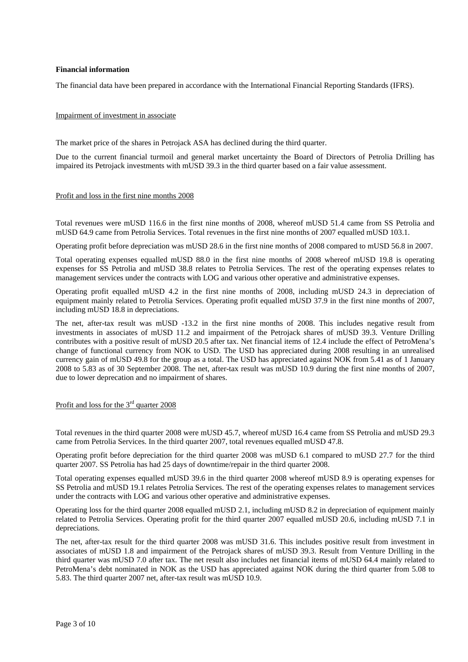#### **Financial information**

The financial data have been prepared in accordance with the International Financial Reporting Standards (IFRS).

#### Impairment of investment in associate

The market price of the shares in Petrojack ASA has declined during the third quarter.

Due to the current financial turmoil and general market uncertainty the Board of Directors of Petrolia Drilling has impaired its Petrojack investments with mUSD 39.3 in the third quarter based on a fair value assessment.

#### Profit and loss in the first nine months 2008

Total revenues were mUSD 116.6 in the first nine months of 2008, whereof mUSD 51.4 came from SS Petrolia and mUSD 64.9 came from Petrolia Services. Total revenues in the first nine months of 2007 equalled mUSD 103.1.

Operating profit before depreciation was mUSD 28.6 in the first nine months of 2008 compared to mUSD 56.8 in 2007.

Total operating expenses equalled mUSD 88.0 in the first nine months of 2008 whereof mUSD 19.8 is operating expenses for SS Petrolia and mUSD 38.8 relates to Petrolia Services. The rest of the operating expenses relates to management services under the contracts with LOG and various other operative and administrative expenses.

Operating profit equalled mUSD 4.2 in the first nine months of 2008, including mUSD 24.3 in depreciation of equipment mainly related to Petrolia Services. Operating profit equalled mUSD 37.9 in the first nine months of 2007, including mUSD 18.8 in depreciations.

The net, after-tax result was mUSD -13.2 in the first nine months of 2008. This includes negative result from investments in associates of mUSD 11.2 and impairment of the Petrojack shares of mUSD 39.3. Venture Drilling contributes with a positive result of mUSD 20.5 after tax. Net financial items of 12.4 include the effect of PetroMena's change of functional currency from NOK to USD. The USD has appreciated during 2008 resulting in an unrealised currency gain of mUSD 49.8 for the group as a total. The USD has appreciated against NOK from 5.41 as of 1 January 2008 to 5.83 as of 30 September 2008. The net, after-tax result was mUSD 10.9 during the first nine months of 2007, due to lower deprecation and no impairment of shares.

#### Profit and loss for the 3<sup>rd</sup> quarter 2008

Total revenues in the third quarter 2008 were mUSD 45.7, whereof mUSD 16.4 came from SS Petrolia and mUSD 29.3 came from Petrolia Services. In the third quarter 2007, total revenues equalled mUSD 47.8.

Operating profit before depreciation for the third quarter 2008 was mUSD 6.1 compared to mUSD 27.7 for the third quarter 2007. SS Petrolia has had 25 days of downtime/repair in the third quarter 2008.

Total operating expenses equalled mUSD 39.6 in the third quarter 2008 whereof mUSD 8.9 is operating expenses for SS Petrolia and mUSD 19.1 relates Petrolia Services. The rest of the operating expenses relates to management services under the contracts with LOG and various other operative and administrative expenses.

Operating loss for the third quarter 2008 equalled mUSD 2.1, including mUSD 8.2 in depreciation of equipment mainly related to Petrolia Services. Operating profit for the third quarter 2007 equalled mUSD 20.6, including mUSD 7.1 in depreciations.

The net, after-tax result for the third quarter 2008 was mUSD 31.6. This includes positive result from investment in associates of mUSD 1.8 and impairment of the Petrojack shares of mUSD 39.3. Result from Venture Drilling in the third quarter was mUSD 7.0 after tax. The net result also includes net financial items of mUSD 64.4 mainly related to PetroMena's debt nominated in NOK as the USD has appreciated against NOK during the third quarter from 5.08 to 5.83. The third quarter 2007 net, after-tax result was mUSD 10.9.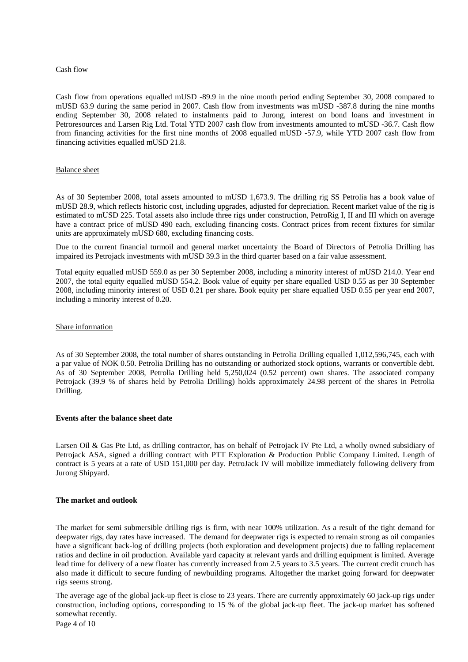#### Cash flow

Cash flow from operations equalled mUSD -89.9 in the nine month period ending September 30, 2008 compared to mUSD 63.9 during the same period in 2007. Cash flow from investments was mUSD -387.8 during the nine months ending September 30, 2008 related to instalments paid to Jurong, interest on bond loans and investment in Petroresources and Larsen Rig Ltd. Total YTD 2007 cash flow from investments amounted to mUSD -36.7. Cash flow from financing activities for the first nine months of 2008 equalled mUSD -57.9, while YTD 2007 cash flow from financing activities equalled mUSD 21.8.

#### Balance sheet

As of 30 September 2008, total assets amounted to mUSD 1,673.9. The drilling rig SS Petrolia has a book value of mUSD 28.9, which reflects historic cost, including upgrades, adjusted for depreciation. Recent market value of the rig is estimated to mUSD 225. Total assets also include three rigs under construction, PetroRig I, II and III which on average have a contract price of mUSD 490 each, excluding financing costs. Contract prices from recent fixtures for similar units are approximately mUSD 680, excluding financing costs.

Due to the current financial turmoil and general market uncertainty the Board of Directors of Petrolia Drilling has impaired its Petrojack investments with mUSD 39.3 in the third quarter based on a fair value assessment.

Total equity equalled mUSD 559.0 as per 30 September 2008, including a minority interest of mUSD 214.0. Year end 2007, the total equity equalled mUSD 554.2. Book value of equity per share equalled USD 0.55 as per 30 September 2008, including minority interest of USD 0.21 per share**.** Book equity per share equalled USD 0.55 per year end 2007, including a minority interest of 0.20.

#### Share information

As of 30 September 2008, the total number of shares outstanding in Petrolia Drilling equalled 1,012,596,745, each with a par value of NOK 0.50. Petrolia Drilling has no outstanding or authorized stock options, warrants or convertible debt. As of 30 September 2008, Petrolia Drilling held 5,250,024 (0.52 percent) own shares. The associated company Petrojack (39.9 % of shares held by Petrolia Drilling) holds approximately 24.98 percent of the shares in Petrolia Drilling.

#### **Events after the balance sheet date**

Larsen Oil & Gas Pte Ltd, as drilling contractor, has on behalf of Petrojack IV Pte Ltd, a wholly owned subsidiary of Petrojack ASA, signed a drilling contract with PTT Exploration & Production Public Company Limited. Length of contract is 5 years at a rate of USD 151,000 per day. PetroJack IV will mobilize immediately following delivery from Jurong Shipyard.

#### **The market and outlook**

The market for semi submersible drilling rigs is firm, with near 100% utilization. As a result of the tight demand for deepwater rigs, day rates have increased. The demand for deepwater rigs is expected to remain strong as oil companies have a significant back-log of drilling projects (both exploration and development projects) due to falling replacement ratios and decline in oil production. Available yard capacity at relevant yards and drilling equipment is limited. Average lead time for delivery of a new floater has currently increased from 2.5 years to 3.5 years. The current credit crunch has also made it difficult to secure funding of newbuilding programs. Altogether the market going forward for deepwater rigs seems strong.

The average age of the global jack-up fleet is close to 23 years. There are currently approximately 60 jack-up rigs under construction, including options, corresponding to 15 % of the global jack-up fleet. The jack-up market has softened somewhat recently.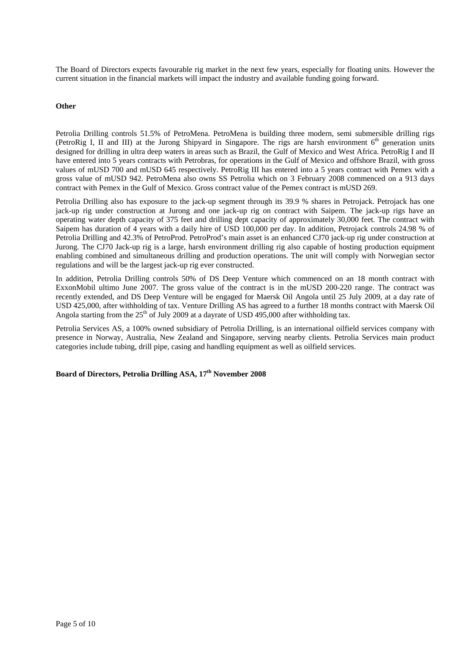The Board of Directors expects favourable rig market in the next few years, especially for floating units. However the current situation in the financial markets will impact the industry and available funding going forward.

#### **Other**

Petrolia Drilling controls 51.5% of PetroMena. PetroMena is building three modern, semi submersible drilling rigs (PetroRig I, II and III) at the Jurong Shipyard in Singapore. The rigs are harsh environment  $6<sup>th</sup>$  generation units designed for drilling in ultra deep waters in areas such as Brazil, the Gulf of Mexico and West Africa. PetroRig I and II have entered into 5 years contracts with Petrobras, for operations in the Gulf of Mexico and offshore Brazil, with gross values of mUSD 700 and mUSD 645 respectively. PetroRig III has entered into a 5 years contract with Pemex with a gross value of mUSD 942. PetroMena also owns SS Petrolia which on 3 February 2008 commenced on a 913 days contract with Pemex in the Gulf of Mexico. Gross contract value of the Pemex contract is mUSD 269.

Petrolia Drilling also has exposure to the jack-up segment through its 39.9 % shares in Petrojack. Petrojack has one jack-up rig under construction at Jurong and one jack-up rig on contract with Saipem. The jack-up rigs have an operating water depth capacity of 375 feet and drilling dept capacity of approximately 30,000 feet. The contract with Saipem has duration of 4 years with a daily hire of USD 100,000 per day. In addition, Petrojack controls 24.98 % of Petrolia Drilling and 42.3% of PetroProd. PetroProd's main asset is an enhanced CJ70 jack-up rig under construction at Jurong. The CJ70 Jack-up rig is a large, harsh environment drilling rig also capable of hosting production equipment enabling combined and simultaneous drilling and production operations. The unit will comply with Norwegian sector regulations and will be the largest jack-up rig ever constructed.

In addition, Petrolia Drilling controls 50% of DS Deep Venture which commenced on an 18 month contract with ExxonMobil ultimo June 2007. The gross value of the contract is in the mUSD 200-220 range. The contract was recently extended, and DS Deep Venture will be engaged for Maersk Oil Angola until 25 July 2009, at a day rate of USD 425,000, after withholding of tax. Venture Drilling AS has agreed to a further 18 months contract with Maersk Oil Angola starting from the  $25<sup>th</sup>$  of July 2009 at a dayrate of USD 495,000 after withholding tax.

Petrolia Services AS, a 100% owned subsidiary of Petrolia Drilling, is an international oilfield services company with presence in Norway, Australia, New Zealand and Singapore, serving nearby clients. Petrolia Services main product categories include tubing, drill pipe, casing and handling equipment as well as oilfield services.

**Board of Directors, Petrolia Drilling ASA, 17th November 2008**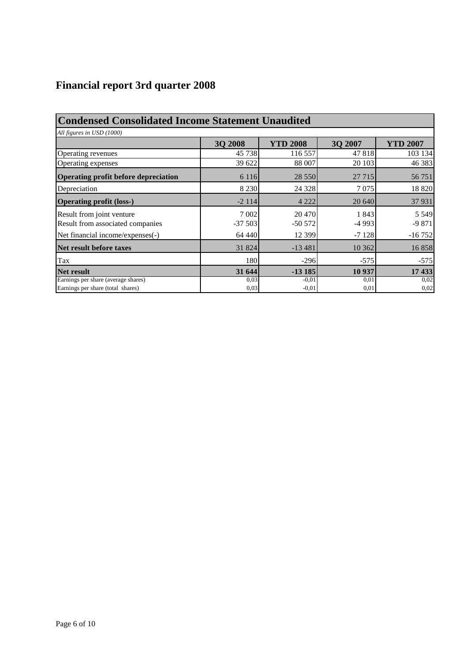# **Financial report 3rd quarter 2008**

| <b>Condensed Consolidated Income Statement Unaudited</b> |                |                 |         |                 |  |  |  |  |  |
|----------------------------------------------------------|----------------|-----------------|---------|-----------------|--|--|--|--|--|
| All figures in USD (1000)                                |                |                 |         |                 |  |  |  |  |  |
|                                                          | <b>3Q 2008</b> | <b>YTD 2008</b> | 3Q 2007 | <b>YTD 2007</b> |  |  |  |  |  |
| Operating revenues                                       | 45 738         | 116 557         | 47818   | 103 134         |  |  |  |  |  |
| Operating expenses                                       | 39 622         | 88 007          | 20 10 3 | 46 383          |  |  |  |  |  |
| Operating profit before depreciation                     | 6 1 1 6        | 28 5 5 0        | 27 7 15 | 56 751          |  |  |  |  |  |
| Depreciation                                             | 8 2 3 0        | 24 3 28         | 7 0 7 5 | 18 8 20         |  |  |  |  |  |
| <b>Operating profit (loss-)</b>                          | $-2114$        | 4 2 2 2         | 20 640  | 37 931          |  |  |  |  |  |
| Result from joint venture                                | 7 0 0 2        | 20 470          | 1843    | 5 5 4 9         |  |  |  |  |  |
| Result from associated companies                         | $-37503$       | $-50572$        | $-4993$ | $-9871$         |  |  |  |  |  |
| Net financial income/expenses(-)                         | 64 440         | 12 3 9 9        | $-7128$ | $-16752$        |  |  |  |  |  |
| Net result before taxes                                  | 31 824         | $-13481$        | 10 3 62 | 16858           |  |  |  |  |  |
| Tax                                                      | 180            | $-296$          | $-575$  | $-575$          |  |  |  |  |  |
| Net result                                               | 31 644         | $-13185$        | 10 937  | 17 433          |  |  |  |  |  |
| Earnings per share (average shares)                      | 0,03           | $-0,01$         | 0,01    | 0,02            |  |  |  |  |  |
| Earnings per share (total shares)                        | 0,03           | $-0,01$         | 0,01    | 0,02            |  |  |  |  |  |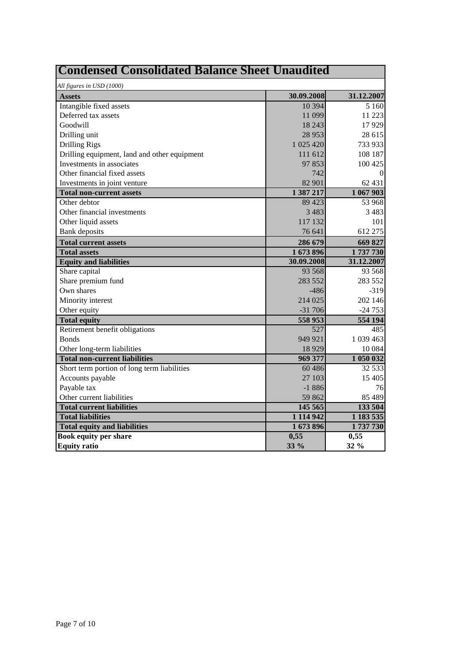| <b>Condensed Consolidated Balance Sheet Unaudited</b> |              |                                                                           |  |  |  |  |
|-------------------------------------------------------|--------------|---------------------------------------------------------------------------|--|--|--|--|
| All figures in USD (1000)                             |              |                                                                           |  |  |  |  |
| <b>Assets</b>                                         | 30.09.2008   | 31.12.2007                                                                |  |  |  |  |
| Intangible fixed assets                               | 10 3 94      | 5 1 6 0                                                                   |  |  |  |  |
| Deferred tax assets                                   | 11 099       | 11 223                                                                    |  |  |  |  |
| Goodwill                                              | 18 24 3      | 17929                                                                     |  |  |  |  |
| Drilling unit                                         | 28 9 53      | 28 615                                                                    |  |  |  |  |
| <b>Drilling Rigs</b>                                  | 1 025 420    | 733 933                                                                   |  |  |  |  |
| Drilling equipment, land and other equipment          | 111 612      | 108 187                                                                   |  |  |  |  |
| Investments in associates                             | 97853        | 100 425                                                                   |  |  |  |  |
| Other financial fixed assets                          | 742          | $\theta$                                                                  |  |  |  |  |
| Investments in joint venture                          | 82 901       | 62 431                                                                    |  |  |  |  |
| <b>Total non-current assets</b>                       | 1 387 217    | 1 067 903                                                                 |  |  |  |  |
| Other debtor                                          | 89 4 23      | 53 968                                                                    |  |  |  |  |
| Other financial investments                           | 3483         | 3 4 8 3                                                                   |  |  |  |  |
| Other liquid assets                                   | 117 132      | 101                                                                       |  |  |  |  |
| <b>Bank</b> deposits                                  | 76 641       | 612 275                                                                   |  |  |  |  |
| <b>Total current assets</b>                           | 286 679      | 669 827                                                                   |  |  |  |  |
| <b>Total assets</b>                                   | 1673896      | 1737730                                                                   |  |  |  |  |
| <b>Equity and liabilities</b>                         | 30.09.2008   | 31.12.2007                                                                |  |  |  |  |
| Share capital                                         | 93 568       | 93 568                                                                    |  |  |  |  |
| Share premium fund                                    | 283 552      | 283 552                                                                   |  |  |  |  |
| Own shares                                            | $-486$       | $-319$                                                                    |  |  |  |  |
| Minority interest                                     | 214 025      | 202 146                                                                   |  |  |  |  |
| Other equity                                          | $-31706$     | $-24753$                                                                  |  |  |  |  |
| <b>Total equity</b>                                   | 558 953      | 554 194                                                                   |  |  |  |  |
| Retirement benefit obligations                        | 527          | 485                                                                       |  |  |  |  |
| <b>Bonds</b>                                          | 949 921      | 1 039 463                                                                 |  |  |  |  |
| Other long-term liabilities                           | 18929        | 10 0 84                                                                   |  |  |  |  |
| <b>Total non-current liabilities</b>                  | 969 377      | 1 050 032                                                                 |  |  |  |  |
| Short term portion of long term liabilities           | 60486        | 32 5 33                                                                   |  |  |  |  |
|                                                       |              |                                                                           |  |  |  |  |
| Accounts payable                                      | 27 103       |                                                                           |  |  |  |  |
| Payable tax                                           | $-1886$      |                                                                           |  |  |  |  |
| Other current liabilities                             | 59 862       |                                                                           |  |  |  |  |
| <b>Total current liabilities</b>                      | 145 565      |                                                                           |  |  |  |  |
| <b>Total liabilities</b>                              | 1 114 942    |                                                                           |  |  |  |  |
| <b>Total equity and liabilities</b>                   | 1673896      |                                                                           |  |  |  |  |
| <b>Book equity per share</b><br><b>Equity ratio</b>   | 0,55<br>33 % | 15 405<br>76<br>85 489<br>133 504<br>1 183 535<br>1737730<br>0,55<br>32 % |  |  |  |  |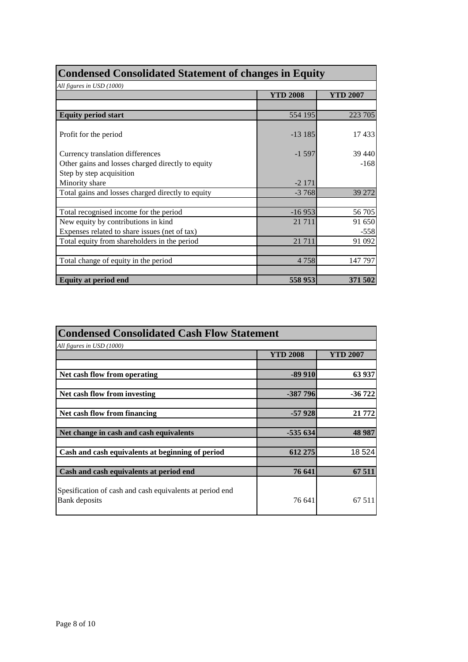| <b>Condensed Consolidated Statement of changes in Equity</b> |                 |                 |  |  |  |  |
|--------------------------------------------------------------|-----------------|-----------------|--|--|--|--|
| All figures in USD (1000)                                    |                 |                 |  |  |  |  |
|                                                              | <b>YTD 2008</b> | <b>YTD 2007</b> |  |  |  |  |
|                                                              |                 |                 |  |  |  |  |
| <b>Equity period start</b>                                   | 554 195         | 223 705         |  |  |  |  |
| Profit for the period                                        | $-13185$        | 17433           |  |  |  |  |
| Currency translation differences                             | $-1597$         | 39 440          |  |  |  |  |
| Other gains and losses charged directly to equity            |                 | $-168$          |  |  |  |  |
| Step by step acquisition                                     |                 |                 |  |  |  |  |
| Minority share                                               | $-2171$         |                 |  |  |  |  |
| Total gains and losses charged directly to equity            | $-3768$         | 39 27 2         |  |  |  |  |
|                                                              |                 |                 |  |  |  |  |
| Total recognised income for the period                       | $-16953$        | 56 705          |  |  |  |  |
| New equity by contributions in kind                          | 21 7 11         | 91 650          |  |  |  |  |
| Expenses related to share issues (net of tax)                |                 | $-558$          |  |  |  |  |
| Total equity from shareholders in the period                 | 21 7 11         | 91 092          |  |  |  |  |
|                                                              |                 |                 |  |  |  |  |
| Total change of equity in the period                         | 4 7 5 8         | 147 797         |  |  |  |  |
|                                                              |                 |                 |  |  |  |  |
| <b>Equity at period end</b>                                  | 558 953         | 371 502         |  |  |  |  |

| <b>Condensed Consolidated Cash Flow Statement</b>                         |                 |          |  |  |  |  |  |
|---------------------------------------------------------------------------|-----------------|----------|--|--|--|--|--|
| All figures in USD (1000)                                                 |                 |          |  |  |  |  |  |
|                                                                           | <b>YTD 2008</b> | YTD 2007 |  |  |  |  |  |
|                                                                           |                 |          |  |  |  |  |  |
| Net cash flow from operating                                              | $-89910$        | 63 937   |  |  |  |  |  |
|                                                                           |                 |          |  |  |  |  |  |
| Net cash flow from investing                                              | $-387796$       | $-36722$ |  |  |  |  |  |
|                                                                           |                 |          |  |  |  |  |  |
| Net cash flow from financing                                              | $-57928$        | 21 772   |  |  |  |  |  |
|                                                                           |                 |          |  |  |  |  |  |
| Net change in cash and cash equivalents                                   | $-535634$       | 48 9 87  |  |  |  |  |  |
|                                                                           |                 |          |  |  |  |  |  |
| Cash and cash equivalents at beginning of period                          | 612 275         | 18 5 24  |  |  |  |  |  |
|                                                                           |                 |          |  |  |  |  |  |
| Cash and cash equivalents at period end                                   | 76 641          | 67 511   |  |  |  |  |  |
| Spesification of cash and cash equivalents at period end<br>Bank deposits | 76 641          | 67 511   |  |  |  |  |  |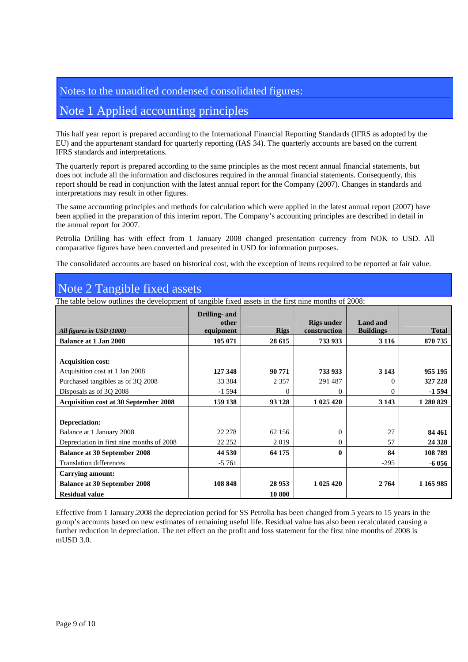### Notes to the unaudited condensed consolidated figures:

## Note 1 Applied accounting principles

This half year report is prepared according to the International Financial Reporting Standards (IFRS as adopted by the EU) and the appurtenant standard for quarterly reporting (IAS 34). The quarterly accounts are based on the current IFRS standards and interpretations.

The quarterly report is prepared according to the same principles as the most recent annual financial statements, but does not include all the information and disclosures required in the annual financial statements. Consequently, this report should be read in conjunction with the latest annual report for the Company (2007). Changes in standards and interpretations may result in other figures.

The same accounting principles and methods for calculation which were applied in the latest annual report (2007) have been applied in the preparation of this interim report. The Company's accounting principles are described in detail in the annual report for 2007.

Petrolia Drilling has with effect from 1 January 2008 changed presentation currency from NOK to USD. All comparative figures have been converted and presented in USD for information purposes.

The consolidated accounts are based on historical cost, with the exception of items required to be reported at fair value.

## Note 2 Tangible fixed assets

The table below outlines the development of tangible fixed assets in the first nine months of 2008:

|                                              | Drilling- and<br>other |             | <b>Rigs under</b> | Land and         |              |
|----------------------------------------------|------------------------|-------------|-------------------|------------------|--------------|
| All figures in USD (1000)                    | equipment              | <b>Rigs</b> | construction      | <b>Buildings</b> | <b>Total</b> |
| <b>Balance at 1 Jan 2008</b>                 | 105 071                | 28 615      | 733 933           | 3 1 1 6          | 870 735      |
|                                              |                        |             |                   |                  |              |
| <b>Acquisition cost:</b>                     |                        |             |                   |                  |              |
| Acquisition cost at 1 Jan 2008               | 127 348                | 90 771      | 733 933           | 3 1 4 3          | 955 195      |
| Purchased tangibles as of 3Q 2008            | 33 384                 | 2 3 5 7     | 291 487           | 0                | 327 228      |
| Disposals as of 3Q 2008                      | $-1.594$               | 0           | 0                 | 0                | $-1594$      |
| <b>Acquisition cost at 30 September 2008</b> | 159 138                | 93 128      | 1 025 420         | 3 1 4 3          | 1 280 829    |
|                                              |                        |             |                   |                  |              |
| Depreciation:                                |                        |             |                   |                  |              |
| Balance at 1 January 2008                    | 22 278                 | 62 156      | $\Omega$          | 27               | 84 461       |
| Depreciation in first nine months of 2008    | 22 25 2                | 2019        | $\Omega$          | 57               | 24 3 28      |
| <b>Balance at 30 September 2008</b>          | 44 530                 | 64 175      | $\bf{0}$          | 84               | 108789       |
| <b>Translation differences</b>               | $-5761$                |             |                   | $-295$           | $-6056$      |
| Carrying amount:                             |                        |             |                   |                  |              |
| <b>Balance at 30 September 2008</b>          | 108 848                | 28 9 53     | 1 025 420         | 2764             | 1 1 65 9 85  |
| <b>Residual value</b>                        |                        | 10 800      |                   |                  |              |

Effective from 1 January.2008 the depreciation period for SS Petrolia has been changed from 5 years to 15 years in the group's accounts based on new estimates of remaining useful life. Residual value has also been recalculated causing a further reduction in depreciation. The net effect on the profit and loss statement for the first nine months of 2008 is mUSD 3.0.